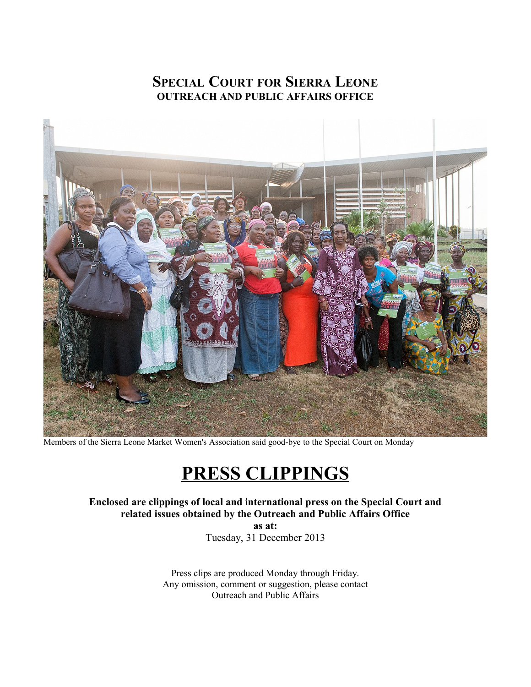## **SPECIAL COURT FOR SIERRA LEONE OUTREACH AND PUBLIC AFFAIRS OFFICE**



Members of the Sierra Leone Market Women's Association said good-bye to the Special Court on Monday

# **PRESS CLIPPINGS**

**Enclosed are clippings of local and international press on the Special Court and related issues obtained by the Outreach and Public Affairs Office**

**as at:** Tuesday, 31 December 2013

Press clips are produced Monday through Friday. Any omission, comment or suggestion, please contact Outreach and Public Affairs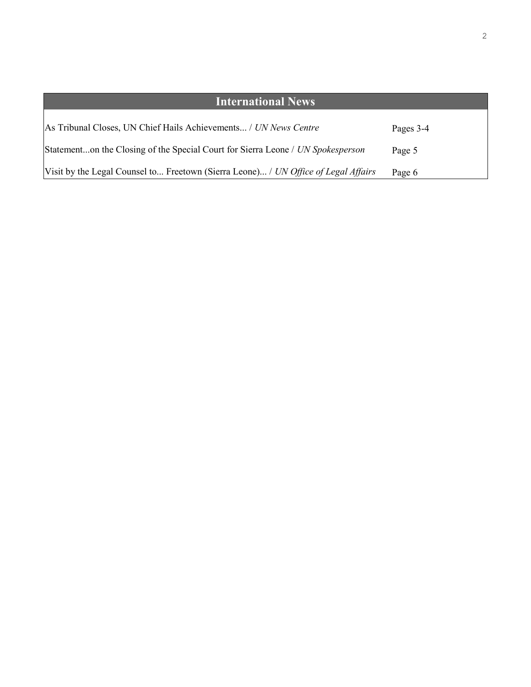| <b>International News</b>                                                          |           |
|------------------------------------------------------------------------------------|-----------|
| As Tribunal Closes, UN Chief Hails Achievements / UN News Centre                   | Pages 3-4 |
| Statementon the Closing of the Special Court for Sierra Leone / UN Spokesperson    | Page 5    |
| Visit by the Legal Counsel to Freetown (Sierra Leone) / UN Office of Legal Affairs | Page 6    |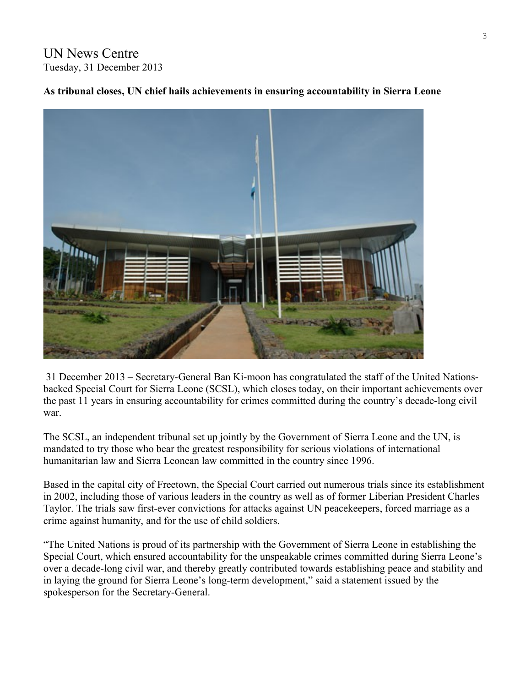UN News Centre Tuesday, 31 December 2013

## **As tribunal closes, UN chief hails achievements in ensuring accountability in Sierra Leone**



 31 December 2013 – Secretary-General Ban Ki-moon has congratulated the staff of the United Nationsbacked Special Court for Sierra Leone (SCSL), which closes today, on their important achievements over the past 11 years in ensuring accountability for crimes committed during the country's decade-long civil war.

The SCSL, an independent tribunal set up jointly by the Government of Sierra Leone and the UN, is mandated to try those who bear the greatest responsibility for serious violations of international humanitarian law and Sierra Leonean law committed in the country since 1996.

Based in the capital city of Freetown, the Special Court carried out numerous trials since its establishment in 2002, including those of various leaders in the country as well as of former Liberian President Charles Taylor. The trials saw first-ever convictions for attacks against UN peacekeepers, forced marriage as a crime against humanity, and for the use of child soldiers.

"The United Nations is proud of its partnership with the Government of Sierra Leone in establishing the Special Court, which ensured accountability for the unspeakable crimes committed during Sierra Leone's over a decade-long civil war, and thereby greatly contributed towards establishing peace and stability and in laying the ground for Sierra Leone's long-term development," said a statement issued by the spokesperson for the Secretary-General.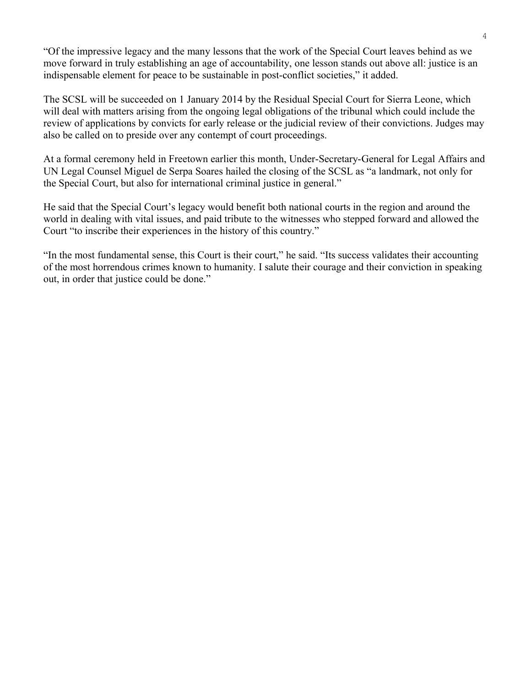"Of the impressive legacy and the many lessons that the work of the Special Court leaves behind as we move forward in truly establishing an age of accountability, one lesson stands out above all: justice is an indispensable element for peace to be sustainable in post-conflict societies," it added.

The SCSL will be succeeded on 1 January 2014 by the Residual Special Court for Sierra Leone, which will deal with matters arising from the ongoing legal obligations of the tribunal which could include the review of applications by convicts for early release or the judicial review of their convictions. Judges may also be called on to preside over any contempt of court proceedings.

At a formal ceremony held in Freetown earlier this month, Under-Secretary-General for Legal Affairs and UN Legal Counsel Miguel de Serpa Soares hailed the closing of the SCSL as "a landmark, not only for the Special Court, but also for international criminal justice in general."

He said that the Special Court's legacy would benefit both national courts in the region and around the world in dealing with vital issues, and paid tribute to the witnesses who stepped forward and allowed the Court "to inscribe their experiences in the history of this country."

"In the most fundamental sense, this Court is their court," he said. "Its success validates their accounting of the most horrendous crimes known to humanity. I salute their courage and their conviction in speaking out, in order that justice could be done."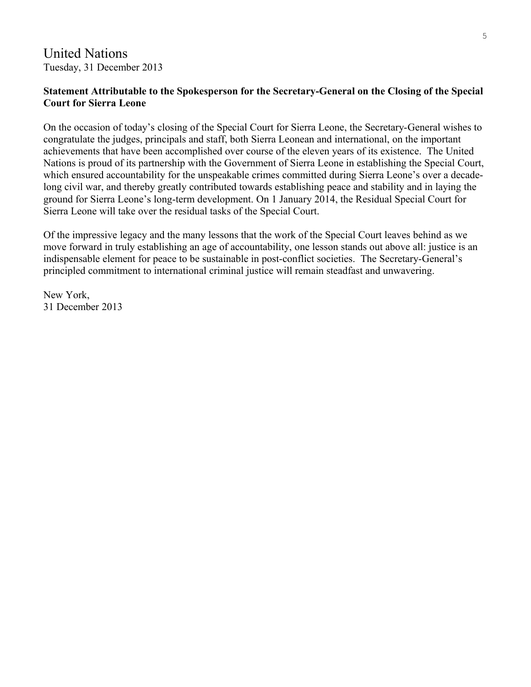## United Nations Tuesday, 31 December 2013

## **Statement Attributable to the Spokesperson for the Secretary-General on the Closing of the Special Court for Sierra Leone**

On the occasion of today's closing of the Special Court for Sierra Leone, the Secretary-General wishes to congratulate the judges, principals and staff, both Sierra Leonean and international, on the important achievements that have been accomplished over course of the eleven years of its existence. The United Nations is proud of its partnership with the Government of Sierra Leone in establishing the Special Court, which ensured accountability for the unspeakable crimes committed during Sierra Leone's over a decadelong civil war, and thereby greatly contributed towards establishing peace and stability and in laying the ground for Sierra Leone's long-term development. On 1 January 2014, the Residual Special Court for Sierra Leone will take over the residual tasks of the Special Court.

Of the impressive legacy and the many lessons that the work of the Special Court leaves behind as we move forward in truly establishing an age of accountability, one lesson stands out above all: justice is an indispensable element for peace to be sustainable in post-conflict societies. The Secretary-General's principled commitment to international criminal justice will remain steadfast and unwavering.

New York, 31 December 2013